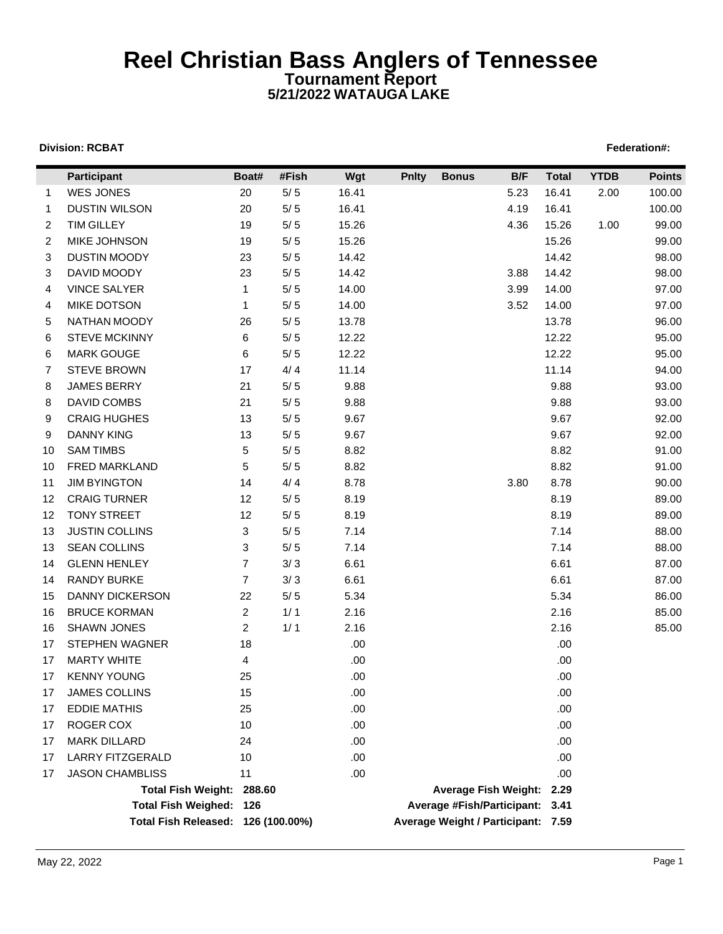## **Reel Christian Bass Anglers of Tennessee Tournament Report 5/21/2022 WATAUGA LAKE**

#### **Division: RCBAT** Federation#:

|                | Participant                        | Boat#          | #Fish | Wgt   | <b>Pnlty</b> | <b>Bonus</b>                       | B/F  | <b>Total</b> | <b>YTDB</b> | <b>Points</b> |
|----------------|------------------------------------|----------------|-------|-------|--------------|------------------------------------|------|--------------|-------------|---------------|
| $\mathbf{1}$   | WES JONES                          | 20             | $5/5$ | 16.41 |              |                                    | 5.23 | 16.41        | 2.00        | 100.00        |
| -1             | <b>DUSTIN WILSON</b>               | 20             | $5/5$ | 16.41 |              |                                    | 4.19 | 16.41        |             | 100.00        |
| 2              | <b>TIM GILLEY</b>                  | 19             | $5/5$ | 15.26 |              |                                    | 4.36 | 15.26        | 1.00        | 99.00         |
| $\overline{2}$ | MIKE JOHNSON                       | 19             | 5/5   | 15.26 |              |                                    |      | 15.26        |             | 99.00         |
| 3              | <b>DUSTIN MOODY</b>                | 23             | $5/5$ | 14.42 |              |                                    |      | 14.42        |             | 98.00         |
| 3              | DAVID MOODY                        | 23             | $5/5$ | 14.42 |              |                                    | 3.88 | 14.42        |             | 98.00         |
| 4              | <b>VINCE SALYER</b>                | $\mathbf{1}$   | $5/5$ | 14.00 |              |                                    | 3.99 | 14.00        |             | 97.00         |
| 4              | <b>MIKE DOTSON</b>                 | $\mathbf{1}$   | $5/5$ | 14.00 |              |                                    | 3.52 | 14.00        |             | 97.00         |
| 5              | NATHAN MOODY                       | 26             | $5/5$ | 13.78 |              |                                    |      | 13.78        |             | 96.00         |
| 6              | <b>STEVE MCKINNY</b>               | 6              | $5/5$ | 12.22 |              |                                    |      | 12.22        |             | 95.00         |
| 6              | <b>MARK GOUGE</b>                  | 6              | $5/5$ | 12.22 |              |                                    |      | 12.22        |             | 95.00         |
| 7              | <b>STEVE BROWN</b>                 | 17             | 4/4   | 11.14 |              |                                    |      | 11.14        |             | 94.00         |
| 8              | <b>JAMES BERRY</b>                 | 21             | $5/5$ | 9.88  |              |                                    |      | 9.88         |             | 93.00         |
| 8              | DAVID COMBS                        | 21             | $5/5$ | 9.88  |              |                                    |      | 9.88         |             | 93.00         |
| 9              | <b>CRAIG HUGHES</b>                | 13             | $5/5$ | 9.67  |              |                                    |      | 9.67         |             | 92.00         |
| 9              | <b>DANNY KING</b>                  | 13             | $5/5$ | 9.67  |              |                                    |      | 9.67         |             | 92.00         |
| 10             | <b>SAM TIMBS</b>                   | 5              | $5/5$ | 8.82  |              |                                    |      | 8.82         |             | 91.00         |
| 10             | FRED MARKLAND                      | 5              | 5/5   | 8.82  |              |                                    |      | 8.82         |             | 91.00         |
| 11             | <b>JIM BYINGTON</b>                | 14             | 4/4   | 8.78  |              |                                    | 3.80 | 8.78         |             | 90.00         |
| 12             | <b>CRAIG TURNER</b>                | 12             | $5/5$ | 8.19  |              |                                    |      | 8.19         |             | 89.00         |
| 12             | <b>TONY STREET</b>                 | 12             | $5/5$ | 8.19  |              |                                    |      | 8.19         |             | 89.00         |
| 13             | <b>JUSTIN COLLINS</b>              | 3              | 5/5   | 7.14  |              |                                    |      | 7.14         |             | 88.00         |
| 13             | <b>SEAN COLLINS</b>                | 3              | $5/5$ | 7.14  |              |                                    |      | 7.14         |             | 88.00         |
| 14             | <b>GLENN HENLEY</b>                | 7              | 3/3   | 6.61  |              |                                    |      | 6.61         |             | 87.00         |
| 14             | <b>RANDY BURKE</b>                 | $\overline{7}$ | 3/3   | 6.61  |              |                                    |      | 6.61         |             | 87.00         |
| 15             | <b>DANNY DICKERSON</b>             | 22             | $5/5$ | 5.34  |              |                                    |      | 5.34         |             | 86.00         |
| 16             | <b>BRUCE KORMAN</b>                | $\overline{2}$ | 1/1   | 2.16  |              |                                    |      | 2.16         |             | 85.00         |
| 16             | <b>SHAWN JONES</b>                 | $\overline{c}$ | 1/1   | 2.16  |              |                                    |      | 2.16         |             | 85.00         |
| 17             | <b>STEPHEN WAGNER</b>              | 18             |       | .00.  |              |                                    |      | .00          |             |               |
| 17             | <b>MARTY WHITE</b>                 | 4              |       | .00.  |              |                                    |      | .00.         |             |               |
| 17             | <b>KENNY YOUNG</b>                 | 25             |       | .00   |              |                                    |      | .00          |             |               |
| 17             | <b>JAMES COLLINS</b>               | 15             |       | .00   |              |                                    |      | .00          |             |               |
| 17             | <b>EDDIE MATHIS</b>                | 25             |       | .00   |              |                                    |      | .00          |             |               |
| 17             | ROGER COX                          | 10             |       | .00   |              |                                    |      | .00          |             |               |
| 17             | <b>MARK DILLARD</b>                | 24             |       | .00   |              |                                    |      | .00          |             |               |
| 17             | <b>LARRY FITZGERALD</b>            | 10             |       | .00   |              |                                    |      | .00          |             |               |
| 17             | <b>JASON CHAMBLISS</b>             | 11             |       | .00   |              |                                    |      | .00          |             |               |
|                | Total Fish Weight: 288.60          |                |       |       |              | Average Fish Weight: 2.29          |      |              |             |               |
|                | Total Fish Weighed: 126            |                |       |       |              | Average #Fish/Participant: 3.41    |      |              |             |               |
|                | Total Fish Released: 126 (100.00%) |                |       |       |              | Average Weight / Participant: 7.59 |      |              |             |               |
|                |                                    |                |       |       |              |                                    |      |              |             |               |